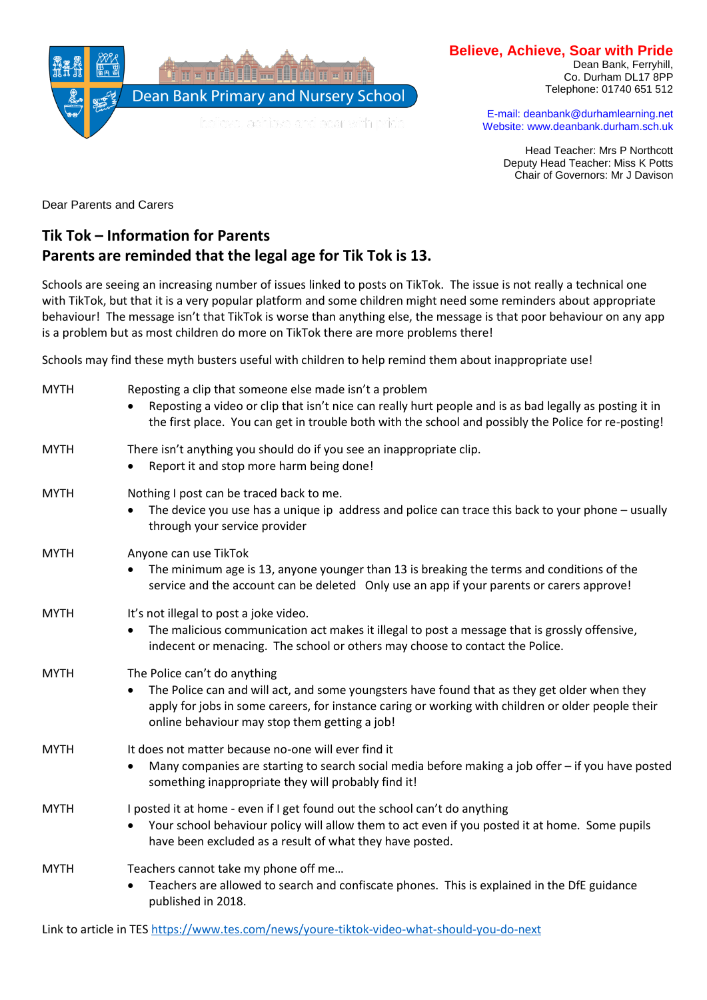

#### **Believe, Achieve, Soar with Pride**

Dean Bank, Ferryhill, Co. Durham DL17 8PP Telephone: 01740 651 512

E-mail: deanbank@durhamlearning.net Website: www.deanbank.durham.sch.uk

Head Teacher: Mrs P Northcott Deputy Head Teacher: Miss K Potts Chair of Governors: Mr J Davison

Dear Parents and Carers

# **Tik Tok – Information for Parents Parents are reminded that the legal age for Tik Tok is 13.**

Schools are seeing an increasing number of issues linked to posts on TikTok. The issue is not really a technical one with TikTok, but that it is a very popular platform and some children might need some reminders about appropriate behaviour! The message isn't that TikTok is worse than anything else, the message is that poor behaviour on any app is a problem but as most children do more on TikTok there are more problems there!

Schools may find these myth busters useful with children to help remind them about inappropriate use!

| <b>MYTH</b> | Reposting a clip that someone else made isn't a problem<br>Reposting a video or clip that isn't nice can really hurt people and is as bad legally as posting it in<br>the first place. You can get in trouble both with the school and possibly the Police for re-posting!                       |
|-------------|--------------------------------------------------------------------------------------------------------------------------------------------------------------------------------------------------------------------------------------------------------------------------------------------------|
| <b>MYTH</b> | There isn't anything you should do if you see an inappropriate clip.<br>Report it and stop more harm being done!<br>$\bullet$                                                                                                                                                                    |
| <b>MYTH</b> | Nothing I post can be traced back to me.<br>The device you use has a unique ip address and police can trace this back to your phone – usually<br>$\bullet$<br>through your service provider                                                                                                      |
| <b>MYTH</b> | Anyone can use TikTok<br>The minimum age is 13, anyone younger than 13 is breaking the terms and conditions of the<br>$\bullet$<br>service and the account can be deleted Only use an app if your parents or carers approve!                                                                     |
| <b>MYTH</b> | It's not illegal to post a joke video.<br>The malicious communication act makes it illegal to post a message that is grossly offensive,<br>$\bullet$<br>indecent or menacing. The school or others may choose to contact the Police.                                                             |
| <b>MYTH</b> | The Police can't do anything<br>The Police can and will act, and some youngsters have found that as they get older when they<br>$\bullet$<br>apply for jobs in some careers, for instance caring or working with children or older people their<br>online behaviour may stop them getting a job! |
| <b>MYTH</b> | It does not matter because no-one will ever find it<br>Many companies are starting to search social media before making a job offer - if you have posted<br>$\bullet$<br>something inappropriate they will probably find it!                                                                     |
| <b>MYTH</b> | I posted it at home - even if I get found out the school can't do anything<br>Your school behaviour policy will allow them to act even if you posted it at home. Some pupils<br>have been excluded as a result of what they have posted.                                                         |
| <b>MYTH</b> | Teachers cannot take my phone off me<br>Teachers are allowed to search and confiscate phones. This is explained in the DfE guidance<br>published in 2018.                                                                                                                                        |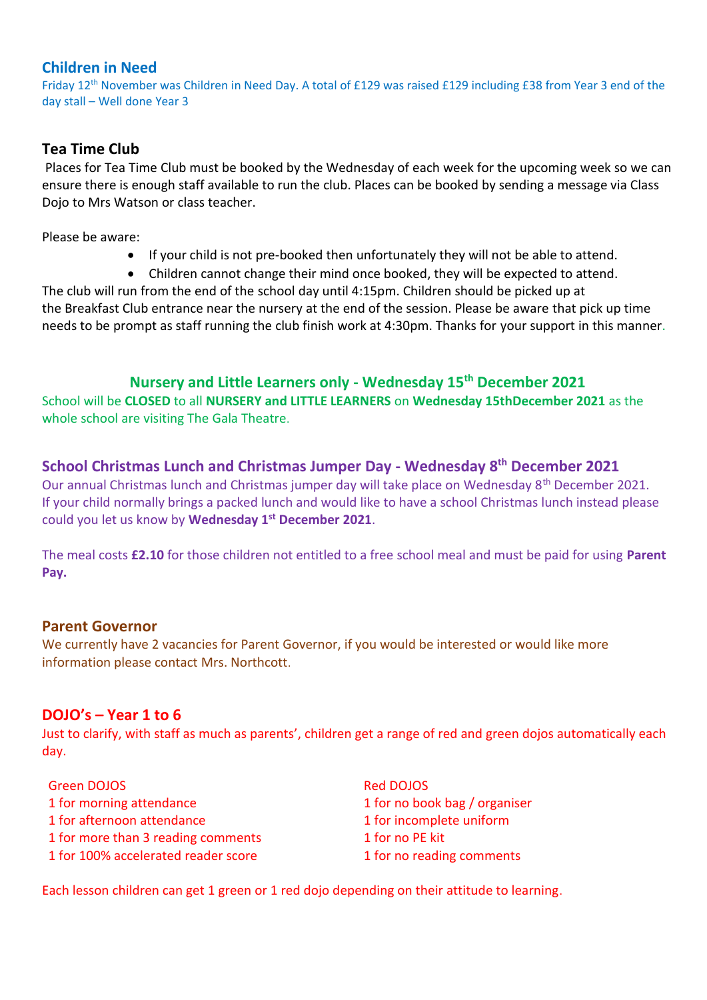## **Children in Need**

Friday 12<sup>th</sup> November was Children in Need Day. A total of £129 was raised £129 including £38 from Year 3 end of the day stall – Well done Year 3

# **Tea Time Club**

Places for Tea Time Club must be booked by the Wednesday of each week for the upcoming week so we can ensure there is enough staff available to run the club. Places can be booked by sending a message via Class Dojo to Mrs Watson or class teacher.

Please be aware:

- If your child is not pre-booked then unfortunately they will not be able to attend.
- Children cannot change their mind once booked, they will be expected to attend.

The club will run from the end of the school day until 4:15pm. Children should be picked up at the Breakfast Club entrance near the nursery at the end of the session. Please be aware that pick up time needs to be prompt as staff running the club finish work at 4:30pm. Thanks for your support in this manner.

### **Nursery and Little Learners only - Wednesday 15th December 2021**

School will be **CLOSED** to all **NURSERY and LITTLE LEARNERS** on **Wednesday 15thDecember 2021** as the whole school are visiting The Gala Theatre.

# **School Christmas Lunch and Christmas Jumper Day - Wednesday 8th December 2021**

Our annual Christmas lunch and Christmas jumper day will take place on Wednesday 8th December 2021. If your child normally brings a packed lunch and would like to have a school Christmas lunch instead please could you let us know by **Wednesday 1st December 2021**.

The meal costs **£2.10** for those children not entitled to a free school meal and must be paid for using **Parent Pay.** 

#### **Parent Governor**

We currently have 2 vacancies for Parent Governor, if you would be interested or would like more information please contact Mrs. Northcott.

## **DOJO's – Year 1 to 6**

Just to clarify, with staff as much as parents', children get a range of red and green dojos automatically each day.

- Green DOJOS 1 for morning attendance 1 for afternoon attendance 1 for more than 3 reading comments 1 for 100% accelerated reader score
- Red DOJOS 1 for no book bag / organiser 1 for incomplete uniform 1 for no PE kit 1 for no reading comments

Each lesson children can get 1 green or 1 red dojo depending on their attitude to learning.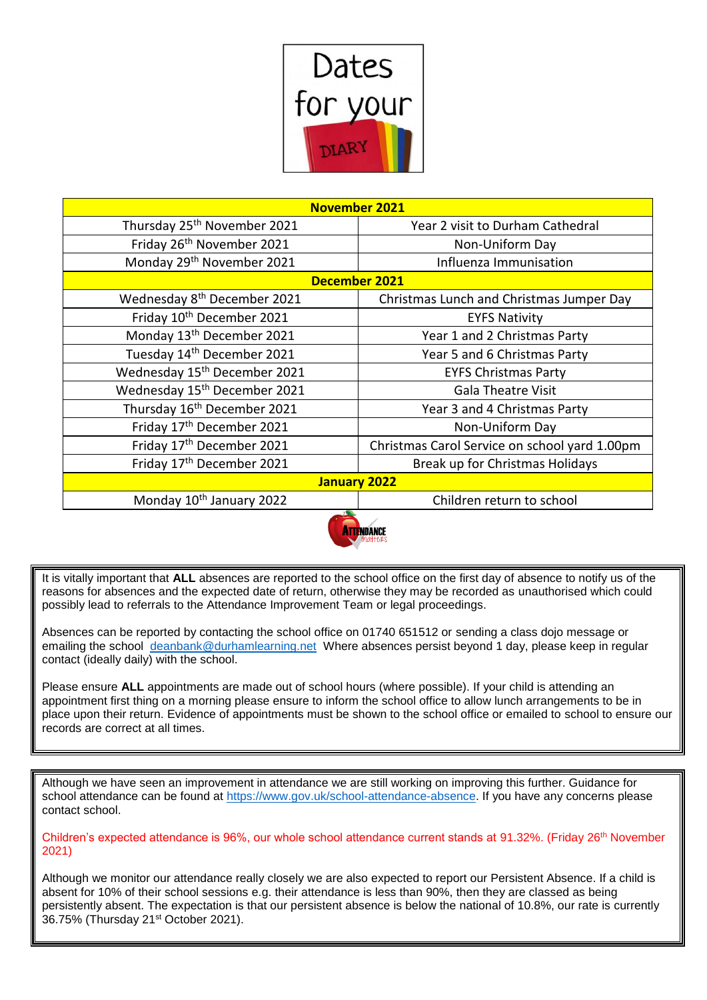

| <b>November 2021</b>                     |                                               |  |  |
|------------------------------------------|-----------------------------------------------|--|--|
| Thursday 25 <sup>th</sup> November 2021  | Year 2 visit to Durham Cathedral              |  |  |
| Friday 26 <sup>th</sup> November 2021    | Non-Uniform Day                               |  |  |
| Monday 29 <sup>th</sup> November 2021    | Influenza Immunisation                        |  |  |
| <b>December 2021</b>                     |                                               |  |  |
| Wednesday 8 <sup>th</sup> December 2021  | Christmas Lunch and Christmas Jumper Day      |  |  |
| Friday 10th December 2021                | <b>EYFS Nativity</b>                          |  |  |
| Monday 13 <sup>th</sup> December 2021    | Year 1 and 2 Christmas Party                  |  |  |
| Tuesday 14 <sup>th</sup> December 2021   | Year 5 and 6 Christmas Party                  |  |  |
| Wednesday 15 <sup>th</sup> December 2021 | <b>EYFS Christmas Party</b>                   |  |  |
| Wednesday 15 <sup>th</sup> December 2021 | <b>Gala Theatre Visit</b>                     |  |  |
| Thursday 16 <sup>th</sup> December 2021  | Year 3 and 4 Christmas Party                  |  |  |
| Friday 17 <sup>th</sup> December 2021    | Non-Uniform Day                               |  |  |
| Friday 17 <sup>th</sup> December 2021    | Christmas Carol Service on school yard 1.00pm |  |  |
| Friday 17th December 2021                | Break up for Christmas Holidays               |  |  |
| January 2022                             |                                               |  |  |
| Monday 10 <sup>th</sup> January 2022     | Children return to school                     |  |  |
|                                          |                                               |  |  |



It is vitally important that **ALL** absences are reported to the school office on the first day of absence to notify us of the reasons for absences and the expected date of return, otherwise they may be recorded as unauthorised which could possibly lead to referrals to the Attendance Improvement Team or legal proceedings.

Absences can be reported by contacting the school office on 01740 651512 or sending a class dojo message or emailing the school [deanbank@durhamlearning.net](mailto:deanbank@durhamlearning.net) Where absences persist beyond 1 day, please keep in regular contact (ideally daily) with the school.

Please ensure **ALL** appointments are made out of school hours (where possible). If your child is attending an appointment first thing on a morning please ensure to inform the school office to allow lunch arrangements to be in place upon their return. Evidence of appointments must be shown to the school office or emailed to school to ensure our records are correct at all times.

Although we have seen an improvement in attendance we are still working on improving this further. Guidance for school attendance can be found at [https://www.gov.uk/school-attendance-absence.](https://www.gov.uk/school-attendance-absence) If you have any concerns please contact school.

Children's expected attendance is 96%, our whole school attendance current stands at 91.32%. (Friday 26<sup>th</sup> November 2021)

Although we monitor our attendance really closely we are also expected to report our Persistent Absence. If a child is absent for 10% of their school sessions e.g. their attendance is less than 90%, then they are classed as being persistently absent. The expectation is that our persistent absence is below the national of 10.8%, our rate is currently 36.75% (Thursday 21st October 2021).